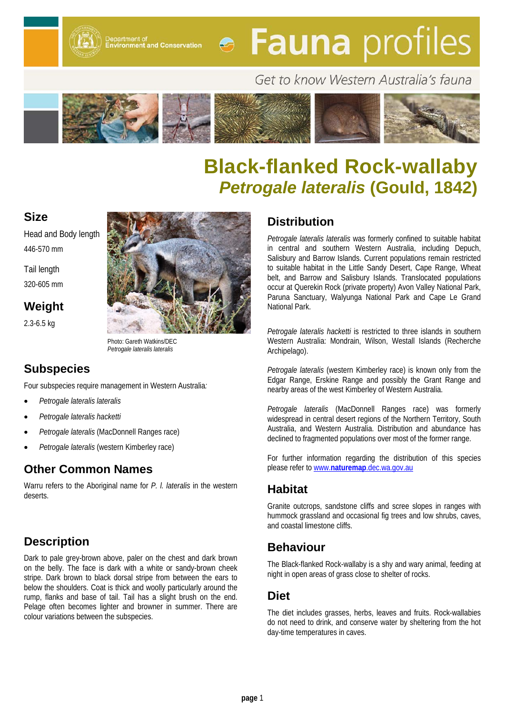Department of<br>Environment and Conservation

# **• Fauna** profiles

# Get to know Western Australia's fauna



# **Black-flanked Rock-wallaby** *Petrogale lateralis* **(Gould, 1842)**

#### **Size**

Head and Body length 446-570 mm

Tail length 320-605 mm

**Weight**

2.3-6.5 kg



Photo: Gareth Watkins/DEC *Petrogale lateralis lateralis*

## **Subspecies**

Four subspecies require management in Western Australia*:*

- *Petrogale lateralis lateralis*
- *Petrogale lateralis hacketti*
- *Petrogale lateralis* (MacDonnell Ranges race)
- *Petrogale lateralis* (western Kimberley race)

## **Other Common Names**

Warru refers to the Aboriginal name for *P. l. lateralis* in the western deserts.

## **Description**

Dark to pale grey-brown above, paler on the chest and dark brown on the belly. The face is dark with a white or sandy-brown cheek stripe. Dark brown to black dorsal stripe from between the ears to below the shoulders. Coat is thick and woolly particularly around the rump, flanks and base of tail. Tail has a slight brush on the end. Pelage often becomes lighter and browner in summer. There are colour variations between the subspecies.

#### **Distribution**

*Petrogale lateralis lateralis* was formerly confined to suitable habitat in central and southern Western Australia, including Depuch, Salisbury and Barrow Islands. Current populations remain restricted to suitable habitat in the Little Sandy Desert, Cape Range, Wheat belt, and Barrow and Salisbury Islands. Translocated populations occur at Querekin Rock (private property) Avon Valley National Park, Paruna Sanctuary, Walyunga National Park and Cape Le Grand National Park.

*Petrogale lateralis hacketti* is restricted to three islands in southern Western Australia: Mondrain, Wilson, Westall Islands (Recherche Archipelago).

*Petrogale lateralis* (western Kimberley race) is known only from the Edgar Range, Erskine Range and possibly the Grant Range and nearby areas of the west Kimberley of Western Australia.

*Petrogale lateralis* (MacDonnell Ranges race) was formerly widespread in central desert regions of the Northern Territory, South Australia, and Western Australia. Distribution and abundance has declined to fragmented populations over most of the former range.

For further information regarding the distribution of this species please refer to www.**naturemap**[.dec.wa.gov.au](http://www.naturemap.dec.wa.gov.au/)

## **Habitat**

Granite outcrops, sandstone cliffs and scree slopes in ranges with hummock grassland and occasional fig trees and low shrubs, caves, and coastal limestone cliffs.

## **Behaviour**

The Black-flanked Rock-wallaby is a shy and wary animal, feeding at night in open areas of grass close to shelter of rocks.

#### **Diet**

The diet includes grasses, herbs, leaves and fruits. Rock-wallabies do not need to drink, and conserve water by sheltering from the hot day-time temperatures in caves.